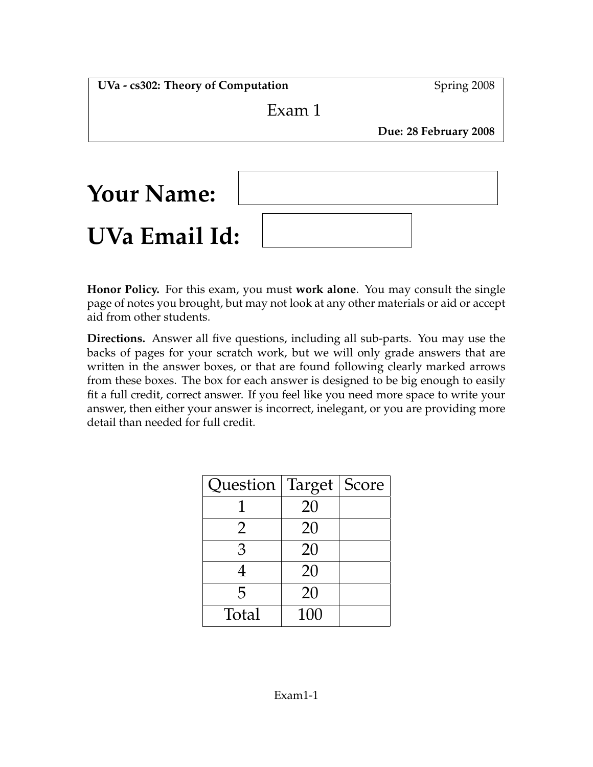**UVa - cs302: Theory of Computation** Spring 2008

# Exam 1

**Due: 28 February 2008**

| <b>Your Name:</b> |  |
|-------------------|--|
| UVa Email Id:     |  |

**Honor Policy.** For this exam, you must **work alone**. You may consult the single page of notes you brought, but may not look at any other materials or aid or accept aid from other students.

**Directions.** Answer all five questions, including all sub-parts. You may use the backs of pages for your scratch work, but we will only grade answers that are written in the answer boxes, or that are found following clearly marked arrows from these boxes. The box for each answer is designed to be big enough to easily fit a full credit, correct answer. If you feel like you need more space to write your answer, then either your answer is incorrect, inelegant, or you are providing more detail than needed for full credit.

| Question   Target   Score |     |  |
|---------------------------|-----|--|
|                           | 20  |  |
| $\overline{2}$            | 20  |  |
| 3                         | 20  |  |
| 4                         | 20  |  |
| 5                         | 20  |  |
| Total                     | 100 |  |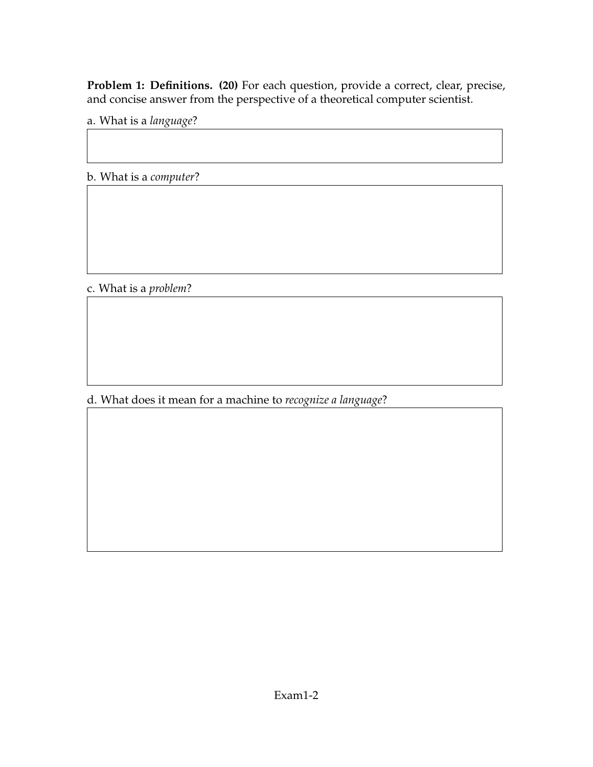**Problem 1: Definitions. (20)** For each question, provide a correct, clear, precise, and concise answer from the perspective of a theoretical computer scientist.

a. What is a *language*?

b. What is a *computer*?

c. What is a *problem*?

d. What does it mean for a machine to *recognize a language*?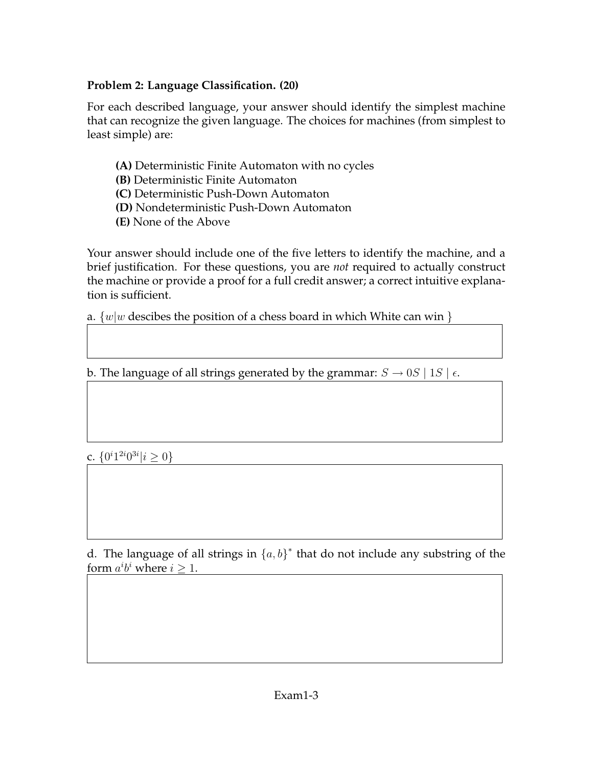### **Problem 2: Language Classification. (20)**

For each described language, your answer should identify the simplest machine that can recognize the given language. The choices for machines (from simplest to least simple) are:

- **(A)** Deterministic Finite Automaton with no cycles
- **(B)** Deterministic Finite Automaton
- **(C)** Deterministic Push-Down Automaton
- **(D)** Nondeterministic Push-Down Automaton
- **(E)** None of the Above

Your answer should include one of the five letters to identify the machine, and a brief justification. For these questions, you are *not* required to actually construct the machine or provide a proof for a full credit answer; a correct intuitive explanation is sufficient.

a.  $\{w|w$  descibes the position of a chess board in which White can win  $\}$ 

b. The language of all strings generated by the grammar:  $S \rightarrow 0S \mid 1S \mid \epsilon$ .

c.  $\{0^i 1^{2i} 0^{3i} | i \geq 0\}$ 

d. The language of all strings in  $\{a, b\}^*$  that do not include any substring of the form  $a^i b^i$  where  $i \geq 1$ .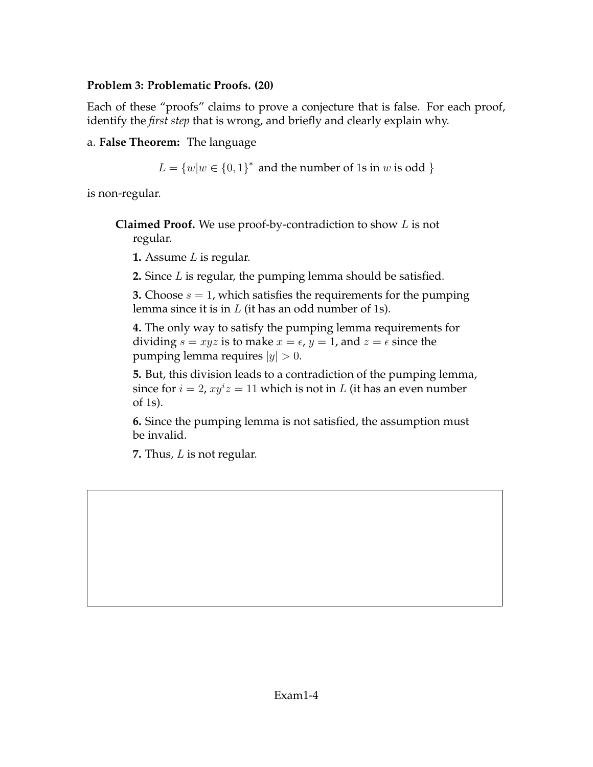### **Problem 3: Problematic Proofs. (20)**

Each of these "proofs" claims to prove a conjecture that is false. For each proof, identify the *first step* that is wrong, and briefly and clearly explain why.

a. **False Theorem:** The language

 $L = \{w | w \in \{0, 1\}^* \text{ and the number of 1s in } w \text{ is odd }\}$ 

is non-regular.

**Claimed Proof.** We use proof-by-contradiction to show L is not regular.

**1.** Assume L is regular.

**2.** Since L is regular, the pumping lemma should be satisfied.

**3.** Choose  $s = 1$ , which satisfies the requirements for the pumping lemma since it is in  $L$  (it has an odd number of 1s).

**4.** The only way to satisfy the pumping lemma requirements for dividing  $s = xyz$  is to make  $x = \epsilon$ ,  $y = 1$ , and  $z = \epsilon$  since the pumping lemma requires  $|y| > 0$ .

**5.** But, this division leads to a contradiction of the pumping lemma, since for  $i = 2$ ,  $xy^i z = 11$  which is not in L (it has an even number of 1s).

**6.** Since the pumping lemma is not satisfied, the assumption must be invalid.

**7.** Thus, L is not regular.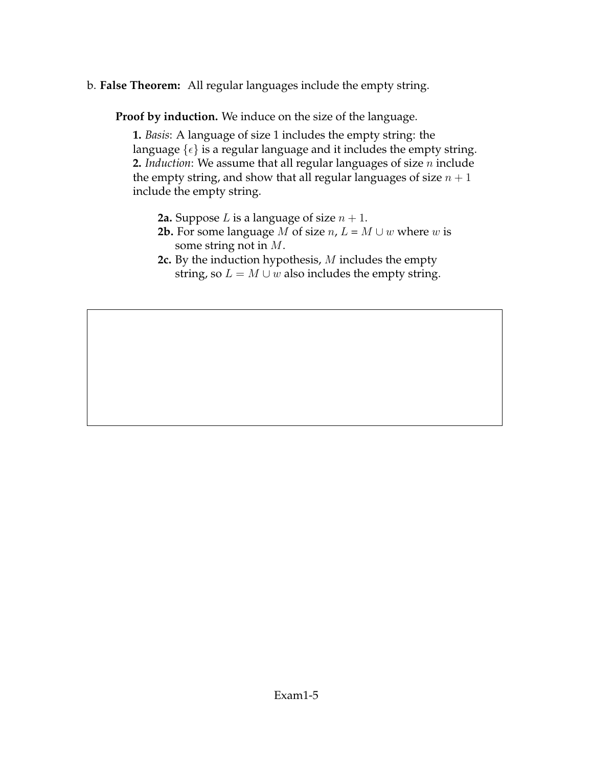b. **False Theorem:** All regular languages include the empty string.

**Proof by induction.** We induce on the size of the language.

**1.** *Basis*: A language of size 1 includes the empty string: the language  $\{\epsilon\}$  is a regular language and it includes the empty string. **2.** *Induction*: We assume that all regular languages of size n include the empty string, and show that all regular languages of size  $n + 1$ include the empty string.

- **2a.** Suppose *L* is a language of size  $n + 1$ .
- **2b.** For some language *M* of size *n*,  $L = M \cup w$  where *w* is some string not in M.
- **2c.** By the induction hypothesis, M includes the empty string, so  $L = M \cup w$  also includes the empty string.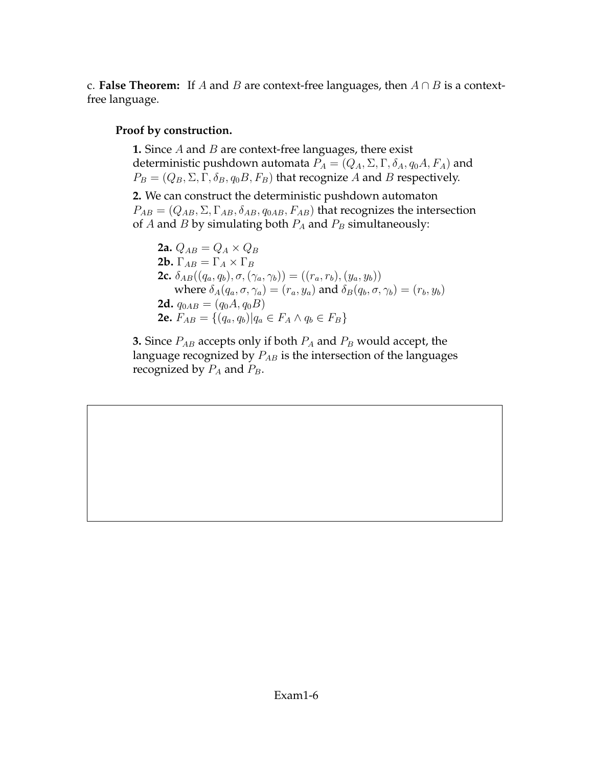c. **False Theorem:** If A and B are context-free languages, then  $A \cap B$  is a contextfree language.

#### **Proof by construction.**

**1.** Since *A* and *B* are context-free languages, there exist deterministic pushdown automata  $P_A = (Q_A, \Sigma, \Gamma, \delta_A, q_0 A, F_A)$  and  $P_B = (Q_B, \Sigma, \Gamma, \delta_B, q_0 B, F_B)$  that recognize A and B respectively.

**2.** We can construct the deterministic pushdown automaton  $P_{AB} = (Q_{AB}, \Sigma, \Gamma_{AB}, \delta_{AB}, q_{0AB}, F_{AB})$  that recognizes the intersection of A and B by simulating both  $P_A$  and  $P_B$  simultaneously:

**2a.**  $Q_{AB} = Q_A \times Q_B$ **2b.**  $\Gamma_{AB} = \Gamma_A \times \Gamma_B$ **2c.**  $\delta_{AB}((q_a, q_b), \sigma, (\gamma_a, \gamma_b)) = ((r_a, r_b), (y_a, y_b))$ where  $\delta_A(q_a, \sigma, \gamma_a) = (r_a, y_a)$  and  $\delta_B(q_b, \sigma, \gamma_b) = (r_b, y_b)$ **2d.**  $q_{0AB} = (q_0A, q_0B)$ **2e.**  $F_{AB} = \{(q_a, q_b) | q_a \in F_A \land q_b \in F_B \}$ 

**3.** Since  $P_{AB}$  accepts only if both  $P_A$  and  $P_B$  would accept, the language recognized by  $P_{AB}$  is the intersection of the languages recognized by  $P_A$  and  $P_B$ .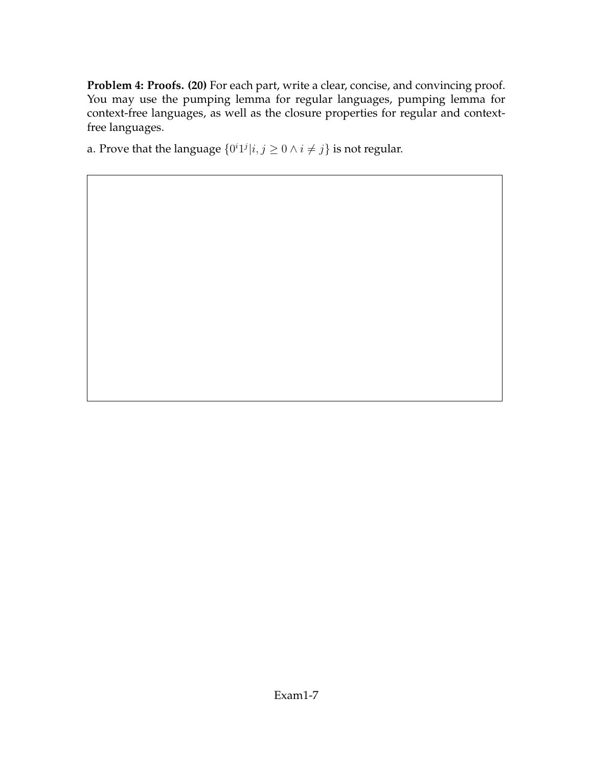**Problem 4: Proofs. (20)** For each part, write a clear, concise, and convincing proof. You may use the pumping lemma for regular languages, pumping lemma for context-free languages, as well as the closure properties for regular and contextfree languages.

a. Prove that the language  $\{0^i1^j|i,j\geq 0 \land i\neq j\}$  is not regular.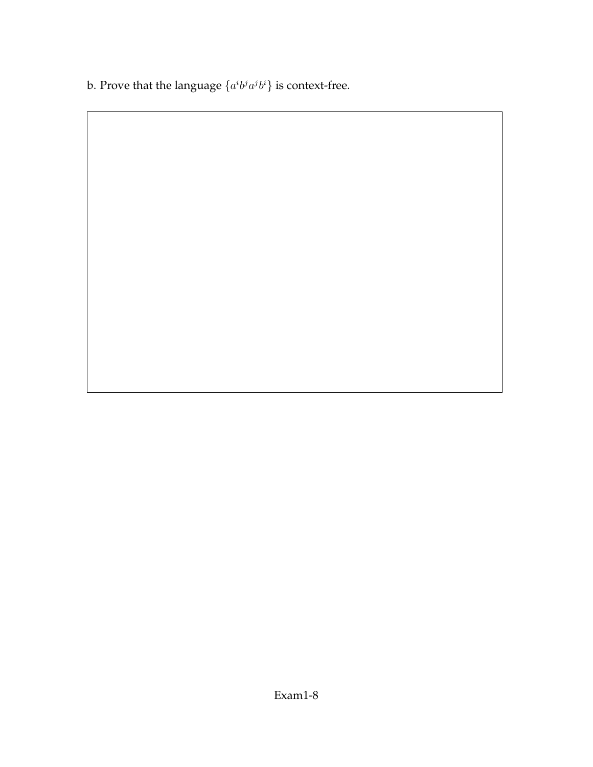b. Prove that the language  $\{a^i b^j a^j b^i\}$  is context-free.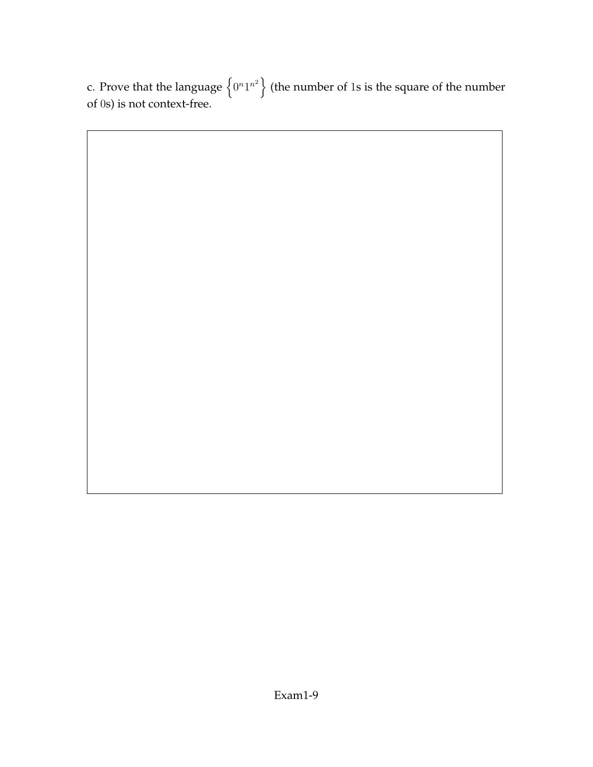c. Prove that the language  $\left\{0^n1^{n^2}\right\}$  (the number of 1s is the square of the number of 0s) is not context-free.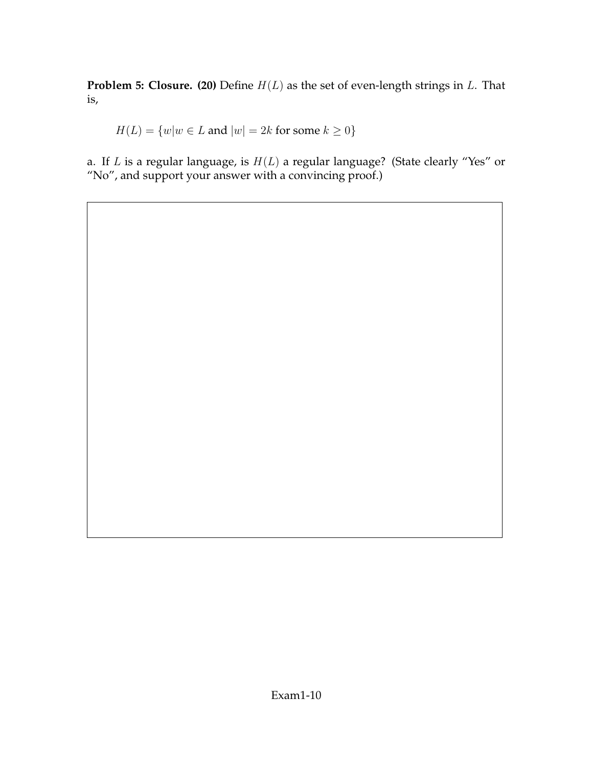**Problem 5: Closure. (20)** Define  $H(L)$  as the set of even-length strings in L. That is,

 $H(L) = \{w|w \in L \text{ and } |w| = 2k \text{ for some } k \geq 0\}$ 

a. If  $L$  is a regular language, is  $H(L)$  a regular language? (State clearly "Yes" or "No", and support your answer with a convincing proof.)